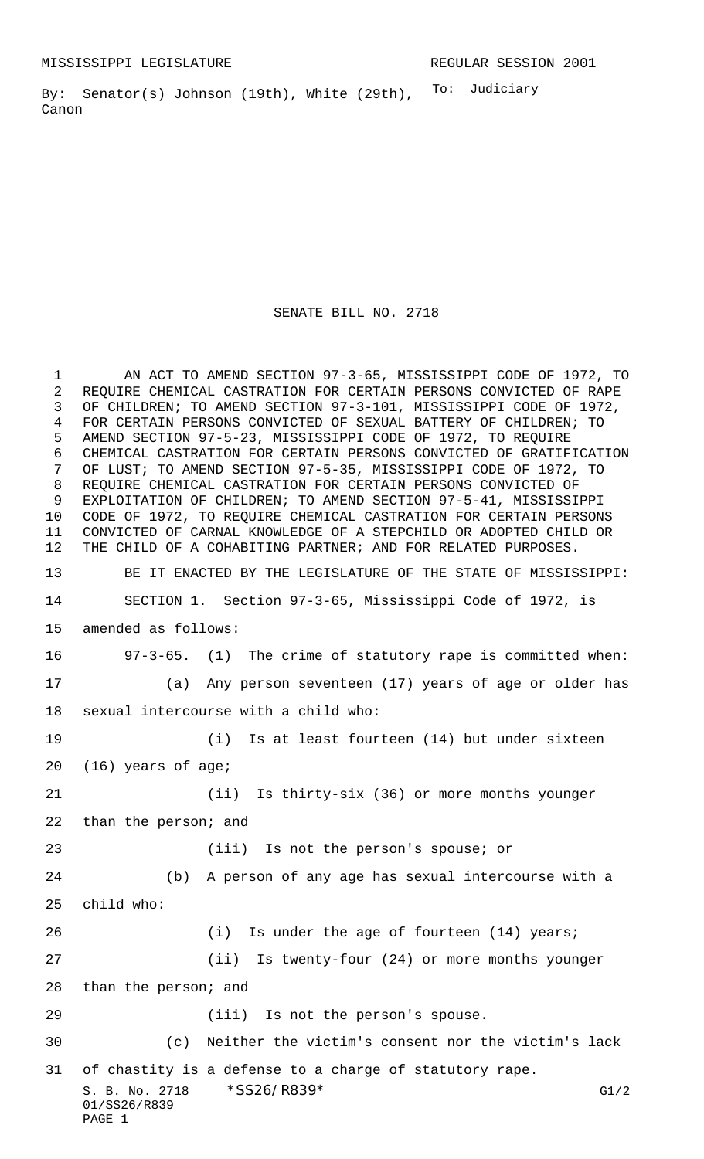By: Senator(s) Johnson (19th), White (29th), <sup>To:</sup> Judiciary Canon

SENATE BILL NO. 2718

S. B. No. 2718 \* SS26/R839\* G1/2 01/SS26/R839 PAGE 1 AN ACT TO AMEND SECTION 97-3-65, MISSISSIPPI CODE OF 1972, TO REQUIRE CHEMICAL CASTRATION FOR CERTAIN PERSONS CONVICTED OF RAPE OF CHILDREN; TO AMEND SECTION 97-3-101, MISSISSIPPI CODE OF 1972, FOR CERTAIN PERSONS CONVICTED OF SEXUAL BATTERY OF CHILDREN; TO AMEND SECTION 97-5-23, MISSISSIPPI CODE OF 1972, TO REQUIRE CHEMICAL CASTRATION FOR CERTAIN PERSONS CONVICTED OF GRATIFICATION OF LUST; TO AMEND SECTION 97-5-35, MISSISSIPPI CODE OF 1972, TO REQUIRE CHEMICAL CASTRATION FOR CERTAIN PERSONS CONVICTED OF EXPLOITATION OF CHILDREN; TO AMEND SECTION 97-5-41, MISSISSIPPI CODE OF 1972, TO REQUIRE CHEMICAL CASTRATION FOR CERTAIN PERSONS CONVICTED OF CARNAL KNOWLEDGE OF A STEPCHILD OR ADOPTED CHILD OR THE CHILD OF A COHABITING PARTNER; AND FOR RELATED PURPOSES. BE IT ENACTED BY THE LEGISLATURE OF THE STATE OF MISSISSIPPI: SECTION 1. Section 97-3-65, Mississippi Code of 1972, is amended as follows: 97-3-65. (1) The crime of statutory rape is committed when: (a) Any person seventeen (17) years of age or older has sexual intercourse with a child who: (i) Is at least fourteen (14) but under sixteen (16) years of age; (ii) Is thirty-six (36) or more months younger 22 than the person; and 23 (iii) Is not the person's spouse; or (b) A person of any age has sexual intercourse with a child who: 26 (i) Is under the age of fourteen (14) years; (ii) Is twenty-four (24) or more months younger 28 than the person; and (iii) Is not the person's spouse. (c) Neither the victim's consent nor the victim's lack of chastity is a defense to a charge of statutory rape.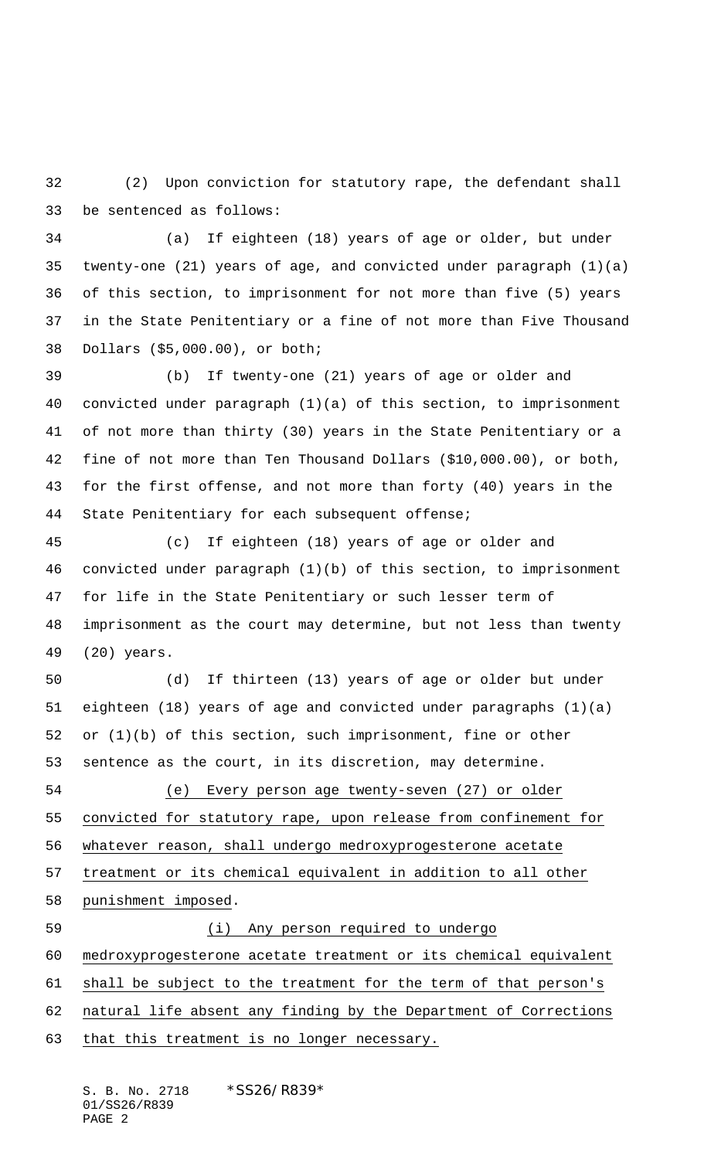(2) Upon conviction for statutory rape, the defendant shall be sentenced as follows:

 (a) If eighteen (18) years of age or older, but under twenty-one (21) years of age, and convicted under paragraph (1)(a) of this section, to imprisonment for not more than five (5) years in the State Penitentiary or a fine of not more than Five Thousand Dollars (\$5,000.00), or both;

 (b) If twenty-one (21) years of age or older and convicted under paragraph (1)(a) of this section, to imprisonment of not more than thirty (30) years in the State Penitentiary or a fine of not more than Ten Thousand Dollars (\$10,000.00), or both, for the first offense, and not more than forty (40) years in the State Penitentiary for each subsequent offense;

 (c) If eighteen (18) years of age or older and convicted under paragraph (1)(b) of this section, to imprisonment for life in the State Penitentiary or such lesser term of imprisonment as the court may determine, but not less than twenty (20) years.

 (d) If thirteen (13) years of age or older but under eighteen (18) years of age and convicted under paragraphs (1)(a) or (1)(b) of this section, such imprisonment, fine or other sentence as the court, in its discretion, may determine.

 (e) Every person age twenty-seven (27) or older convicted for statutory rape, upon release from confinement for whatever reason, shall undergo medroxyprogesterone acetate treatment or its chemical equivalent in addition to all other punishment imposed. (i) Any person required to undergo medroxyprogesterone acetate treatment or its chemical equivalent shall be subject to the treatment for the term of that person's

natural life absent any finding by the Department of Corrections

63 that this treatment is no longer necessary.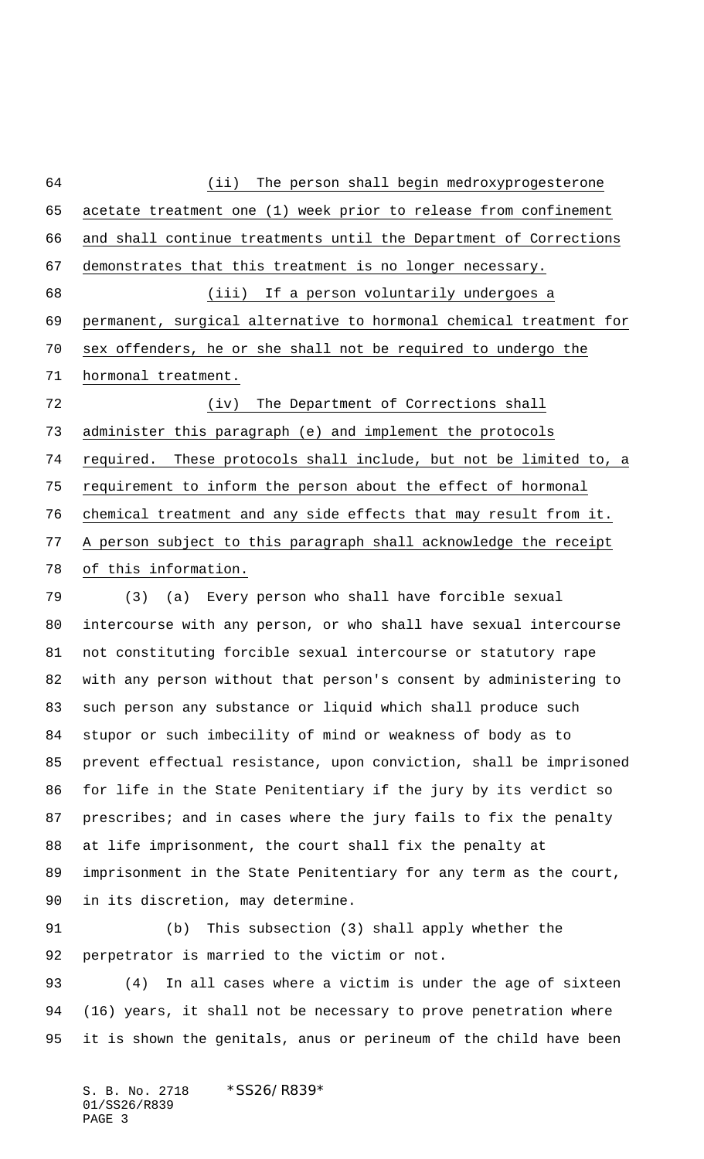(ii) The person shall begin medroxyprogesterone acetate treatment one (1) week prior to release from confinement and shall continue treatments until the Department of Corrections demonstrates that this treatment is no longer necessary. (iii) If a person voluntarily undergoes a permanent, surgical alternative to hormonal chemical treatment for sex offenders, he or she shall not be required to undergo the hormonal treatment. 72 (iv) The Department of Corrections shall administer this paragraph (e) and implement the protocols required. These protocols shall include, but not be limited to, a requirement to inform the person about the effect of hormonal chemical treatment and any side effects that may result from it. A person subject to this paragraph shall acknowledge the receipt of this information.

 (3) (a) Every person who shall have forcible sexual intercourse with any person, or who shall have sexual intercourse not constituting forcible sexual intercourse or statutory rape with any person without that person's consent by administering to such person any substance or liquid which shall produce such stupor or such imbecility of mind or weakness of body as to prevent effectual resistance, upon conviction, shall be imprisoned for life in the State Penitentiary if the jury by its verdict so 87 prescribes; and in cases where the jury fails to fix the penalty at life imprisonment, the court shall fix the penalty at imprisonment in the State Penitentiary for any term as the court, in its discretion, may determine.

 (b) This subsection (3) shall apply whether the perpetrator is married to the victim or not.

 (4) In all cases where a victim is under the age of sixteen (16) years, it shall not be necessary to prove penetration where it is shown the genitals, anus or perineum of the child have been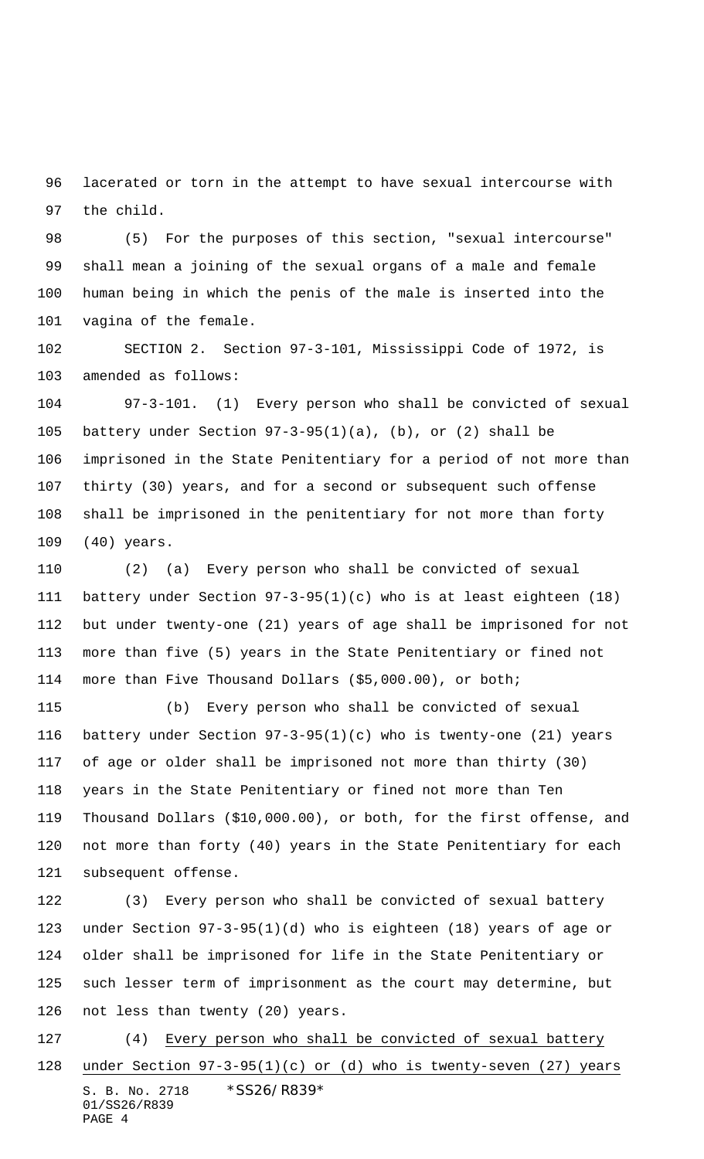lacerated or torn in the attempt to have sexual intercourse with the child.

 (5) For the purposes of this section, "sexual intercourse" shall mean a joining of the sexual organs of a male and female human being in which the penis of the male is inserted into the vagina of the female.

 SECTION 2. Section 97-3-101, Mississippi Code of 1972, is amended as follows:

 97-3-101. (1) Every person who shall be convicted of sexual battery under Section 97-3-95(1)(a), (b), or (2) shall be imprisoned in the State Penitentiary for a period of not more than thirty (30) years, and for a second or subsequent such offense shall be imprisoned in the penitentiary for not more than forty (40) years.

 (2) (a) Every person who shall be convicted of sexual battery under Section 97-3-95(1)(c) who is at least eighteen (18) but under twenty-one (21) years of age shall be imprisoned for not more than five (5) years in the State Penitentiary or fined not more than Five Thousand Dollars (\$5,000.00), or both;

 (b) Every person who shall be convicted of sexual battery under Section 97-3-95(1)(c) who is twenty-one (21) years of age or older shall be imprisoned not more than thirty (30) years in the State Penitentiary or fined not more than Ten Thousand Dollars (\$10,000.00), or both, for the first offense, and not more than forty (40) years in the State Penitentiary for each subsequent offense.

 (3) Every person who shall be convicted of sexual battery under Section 97-3-95(1)(d) who is eighteen (18) years of age or older shall be imprisoned for life in the State Penitentiary or such lesser term of imprisonment as the court may determine, but not less than twenty (20) years.

S. B. No. 2718 \*SS26/R839\* 01/SS26/R839 PAGE 4 127 (4) Every person who shall be convicted of sexual battery under Section 97-3-95(1)(c) or (d) who is twenty-seven (27) years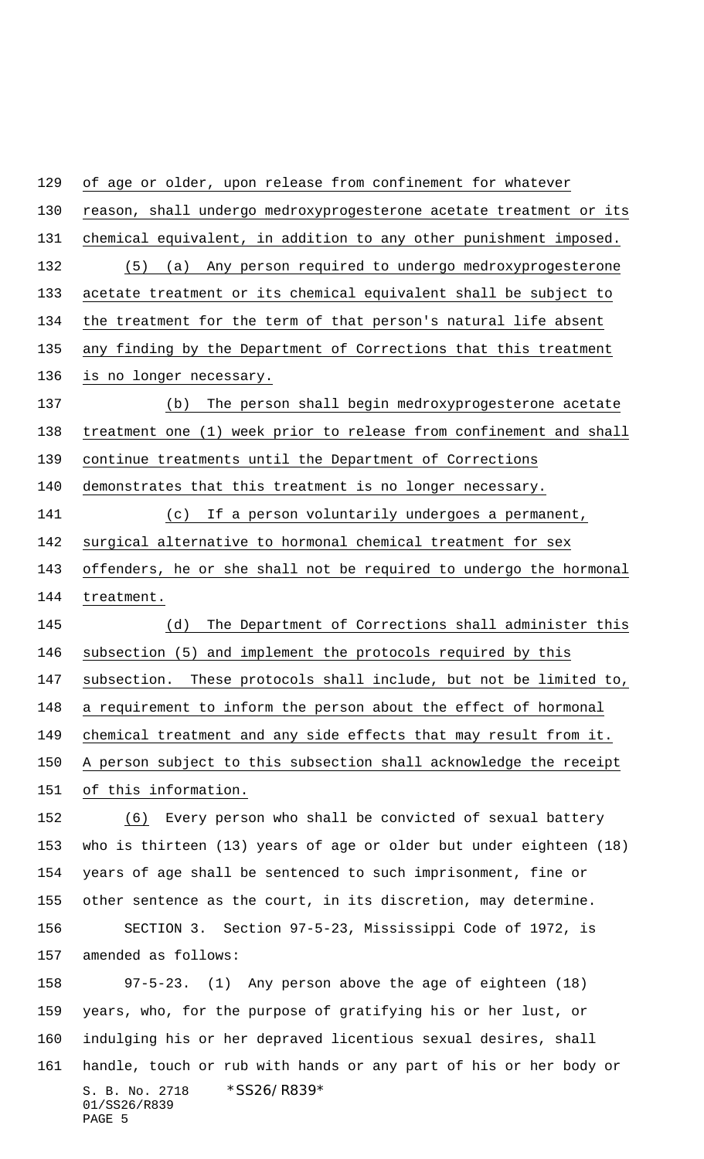S. B. No. 2718 \* SS26/R839\* 01/SS26/R839 of age or older, upon release from confinement for whatever reason, shall undergo medroxyprogesterone acetate treatment or its chemical equivalent, in addition to any other punishment imposed. (5) (a) Any person required to undergo medroxyprogesterone acetate treatment or its chemical equivalent shall be subject to the treatment for the term of that person's natural life absent any finding by the Department of Corrections that this treatment is no longer necessary. (b) The person shall begin medroxyprogesterone acetate 138 treatment one (1) week prior to release from confinement and shall continue treatments until the Department of Corrections 140 demonstrates that this treatment is no longer necessary. (c) If a person voluntarily undergoes a permanent, surgical alternative to hormonal chemical treatment for sex offenders, he or she shall not be required to undergo the hormonal treatment. (d) The Department of Corrections shall administer this subsection (5) and implement the protocols required by this subsection. These protocols shall include, but not be limited to, a requirement to inform the person about the effect of hormonal chemical treatment and any side effects that may result from it. A person subject to this subsection shall acknowledge the receipt of this information. (6) Every person who shall be convicted of sexual battery who is thirteen (13) years of age or older but under eighteen (18) years of age shall be sentenced to such imprisonment, fine or other sentence as the court, in its discretion, may determine. SECTION 3. Section 97-5-23, Mississippi Code of 1972, is amended as follows: 97-5-23. (1) Any person above the age of eighteen (18) years, who, for the purpose of gratifying his or her lust, or indulging his or her depraved licentious sexual desires, shall handle, touch or rub with hands or any part of his or her body or

## PAGE 5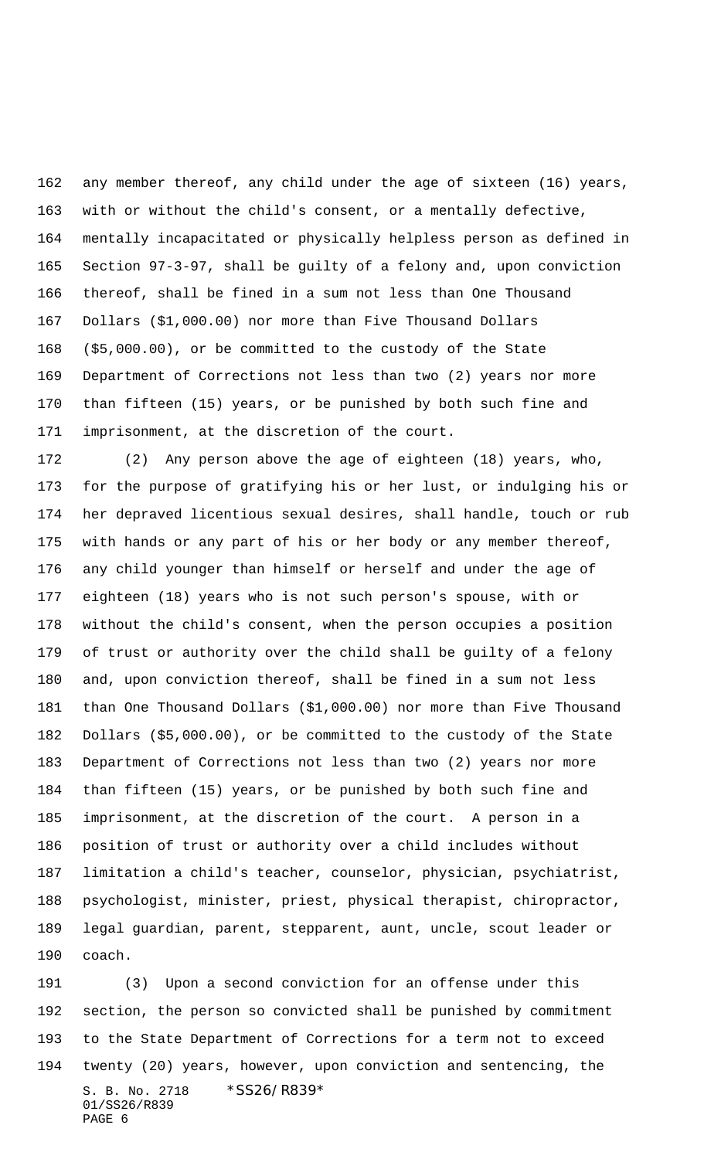any member thereof, any child under the age of sixteen (16) years, with or without the child's consent, or a mentally defective, mentally incapacitated or physically helpless person as defined in Section 97-3-97, shall be guilty of a felony and, upon conviction thereof, shall be fined in a sum not less than One Thousand Dollars (\$1,000.00) nor more than Five Thousand Dollars (\$5,000.00), or be committed to the custody of the State Department of Corrections not less than two (2) years nor more than fifteen (15) years, or be punished by both such fine and imprisonment, at the discretion of the court.

 (2) Any person above the age of eighteen (18) years, who, for the purpose of gratifying his or her lust, or indulging his or her depraved licentious sexual desires, shall handle, touch or rub with hands or any part of his or her body or any member thereof, any child younger than himself or herself and under the age of eighteen (18) years who is not such person's spouse, with or without the child's consent, when the person occupies a position of trust or authority over the child shall be guilty of a felony and, upon conviction thereof, shall be fined in a sum not less than One Thousand Dollars (\$1,000.00) nor more than Five Thousand Dollars (\$5,000.00), or be committed to the custody of the State Department of Corrections not less than two (2) years nor more than fifteen (15) years, or be punished by both such fine and imprisonment, at the discretion of the court. A person in a position of trust or authority over a child includes without limitation a child's teacher, counselor, physician, psychiatrist, psychologist, minister, priest, physical therapist, chiropractor, legal guardian, parent, stepparent, aunt, uncle, scout leader or coach.

S. B. No. 2718 \* SS26/R839\* 01/SS26/R839 PAGE 6 (3) Upon a second conviction for an offense under this section, the person so convicted shall be punished by commitment to the State Department of Corrections for a term not to exceed twenty (20) years, however, upon conviction and sentencing, the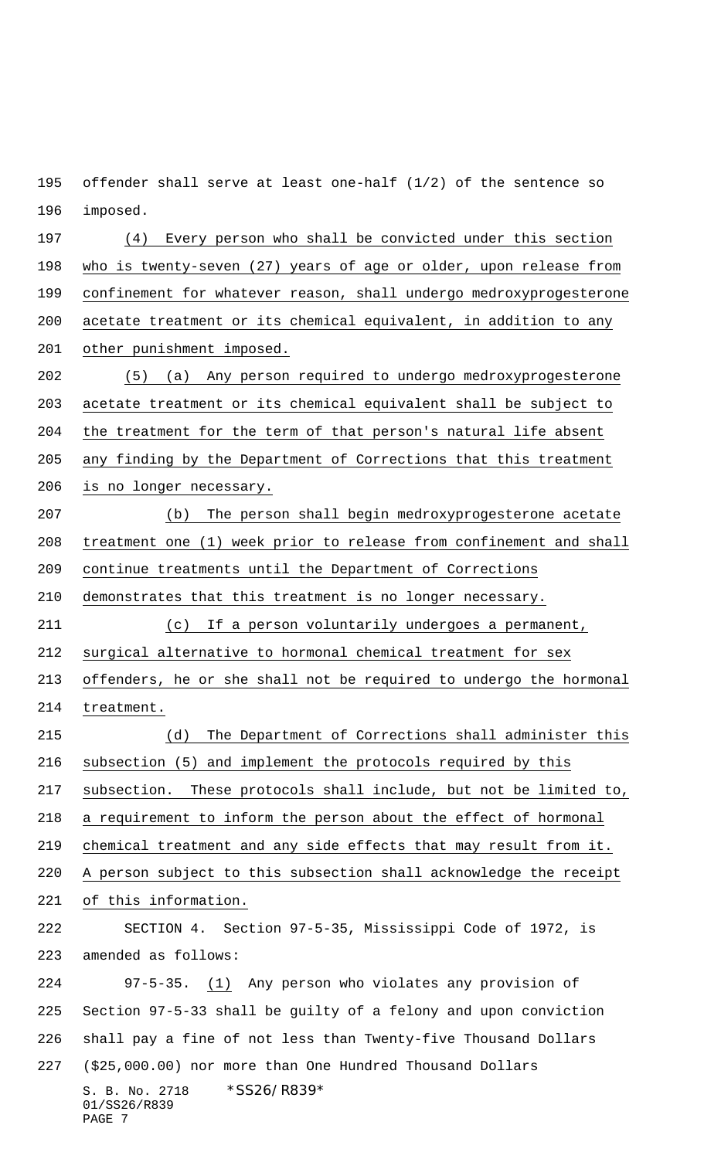offender shall serve at least one-half (1/2) of the sentence so imposed.

 (4) Every person who shall be convicted under this section who is twenty-seven (27) years of age or older, upon release from confinement for whatever reason, shall undergo medroxyprogesterone acetate treatment or its chemical equivalent, in addition to any other punishment imposed.

 (5) (a) Any person required to undergo medroxyprogesterone acetate treatment or its chemical equivalent shall be subject to the treatment for the term of that person's natural life absent any finding by the Department of Corrections that this treatment is no longer necessary.

 (b) The person shall begin medroxyprogesterone acetate treatment one (1) week prior to release from confinement and shall continue treatments until the Department of Corrections

demonstrates that this treatment is no longer necessary.

(c) If a person voluntarily undergoes a permanent,

surgical alternative to hormonal chemical treatment for sex

 offenders, he or she shall not be required to undergo the hormonal treatment.

 (d) The Department of Corrections shall administer this subsection (5) and implement the protocols required by this subsection. These protocols shall include, but not be limited to, a requirement to inform the person about the effect of hormonal chemical treatment and any side effects that may result from it. A person subject to this subsection shall acknowledge the receipt of this information. SECTION 4. Section 97-5-35, Mississippi Code of 1972, is amended as follows: 97-5-35. (1) Any person who violates any provision of Section 97-5-33 shall be guilty of a felony and upon conviction shall pay a fine of not less than Twenty-five Thousand Dollars (\$25,000.00) nor more than One Hundred Thousand Dollars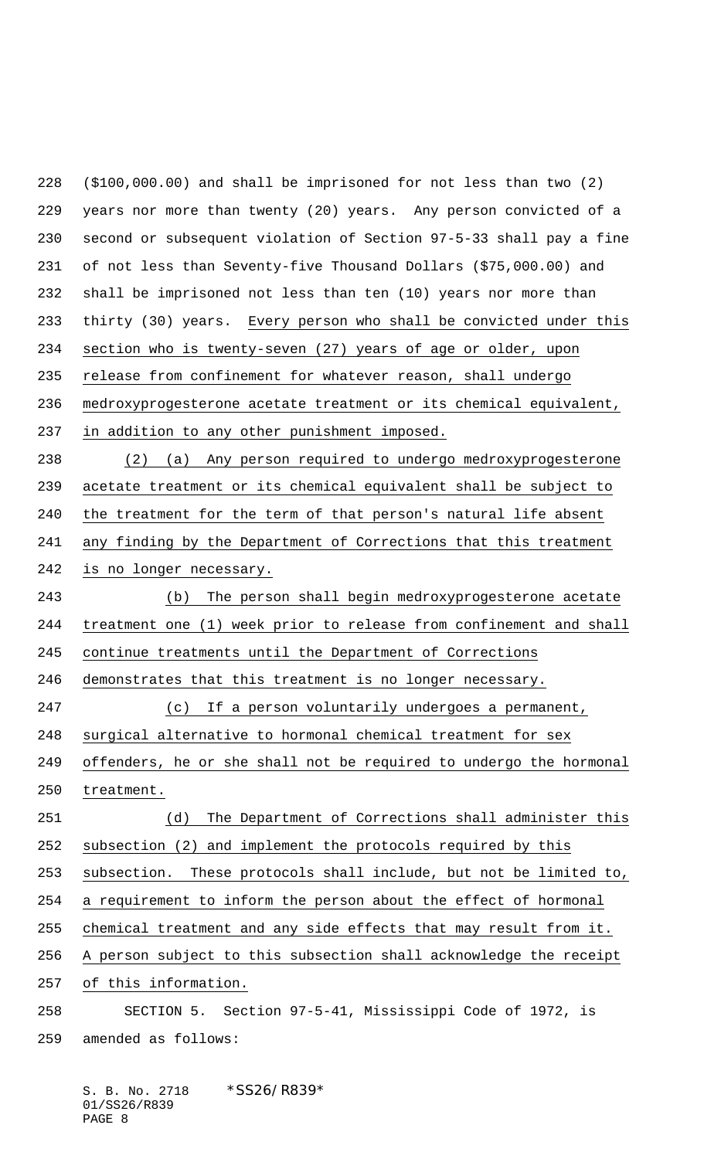(\$100,000.00) and shall be imprisoned for not less than two (2) years nor more than twenty (20) years. Any person convicted of a second or subsequent violation of Section 97-5-33 shall pay a fine of not less than Seventy-five Thousand Dollars (\$75,000.00) and shall be imprisoned not less than ten (10) years nor more than thirty (30) years. Every person who shall be convicted under this section who is twenty-seven (27) years of age or older, upon release from confinement for whatever reason, shall undergo medroxyprogesterone acetate treatment or its chemical equivalent, in addition to any other punishment imposed. (2) (a) Any person required to undergo medroxyprogesterone acetate treatment or its chemical equivalent shall be subject to the treatment for the term of that person's natural life absent any finding by the Department of Corrections that this treatment is no longer necessary. (b) The person shall begin medroxyprogesterone acetate treatment one (1) week prior to release from confinement and shall continue treatments until the Department of Corrections demonstrates that this treatment is no longer necessary. (c) If a person voluntarily undergoes a permanent, surgical alternative to hormonal chemical treatment for sex offenders, he or she shall not be required to undergo the hormonal treatment. (d) The Department of Corrections shall administer this subsection (2) and implement the protocols required by this subsection. These protocols shall include, but not be limited to, a requirement to inform the person about the effect of hormonal chemical treatment and any side effects that may result from it. A person subject to this subsection shall acknowledge the receipt of this information. SECTION 5. Section 97-5-41, Mississippi Code of 1972, is amended as follows: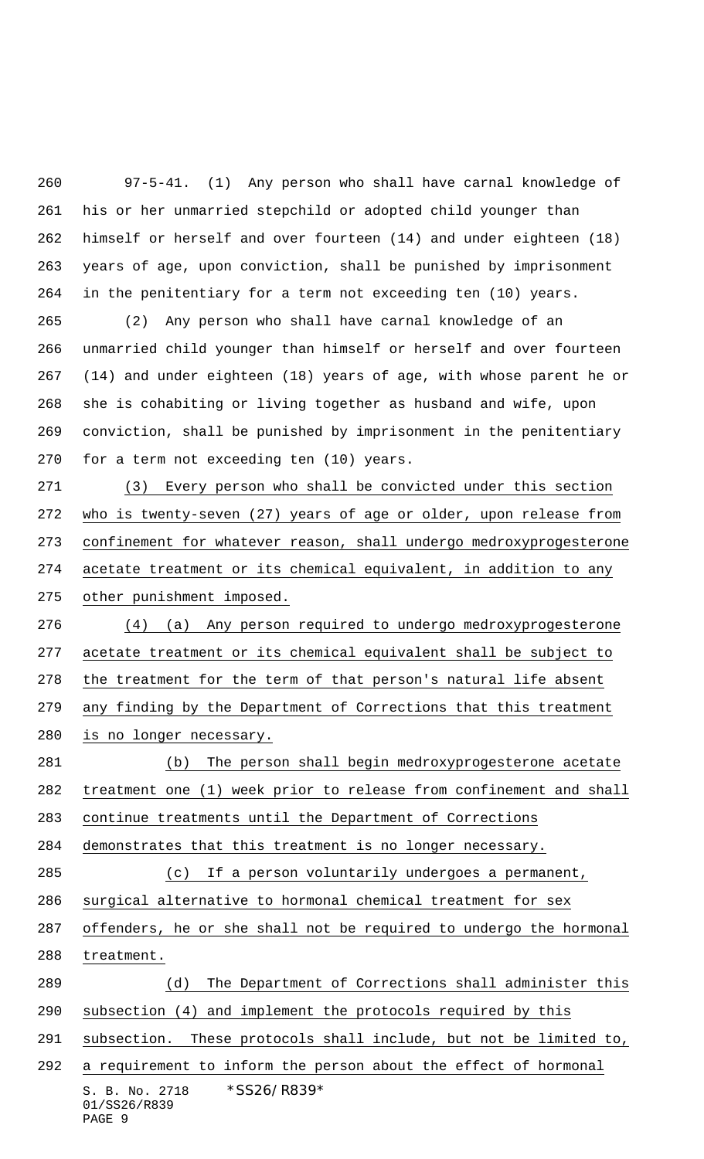97-5-41. (1) Any person who shall have carnal knowledge of his or her unmarried stepchild or adopted child younger than himself or herself and over fourteen (14) and under eighteen (18) years of age, upon conviction, shall be punished by imprisonment in the penitentiary for a term not exceeding ten (10) years.

 (2) Any person who shall have carnal knowledge of an unmarried child younger than himself or herself and over fourteen (14) and under eighteen (18) years of age, with whose parent he or she is cohabiting or living together as husband and wife, upon conviction, shall be punished by imprisonment in the penitentiary for a term not exceeding ten (10) years.

 (3) Every person who shall be convicted under this section who is twenty-seven (27) years of age or older, upon release from confinement for whatever reason, shall undergo medroxyprogesterone acetate treatment or its chemical equivalent, in addition to any other punishment imposed.

 (4) (a) Any person required to undergo medroxyprogesterone acetate treatment or its chemical equivalent shall be subject to the treatment for the term of that person's natural life absent any finding by the Department of Corrections that this treatment 280 is no longer necessary.

S. B. No. 2718 \* SS26/R839\* 01/SS26/R839 PAGE 9 (b) The person shall begin medroxyprogesterone acetate treatment one (1) week prior to release from confinement and shall continue treatments until the Department of Corrections demonstrates that this treatment is no longer necessary. (c) If a person voluntarily undergoes a permanent, surgical alternative to hormonal chemical treatment for sex offenders, he or she shall not be required to undergo the hormonal treatment. (d) The Department of Corrections shall administer this subsection (4) and implement the protocols required by this subsection. These protocols shall include, but not be limited to, a requirement to inform the person about the effect of hormonal